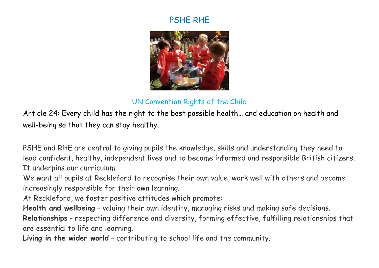## PSHE RHE



## UN Convention Rights of the Child

Article 24: Every child has the right to the best possible health… and education on health and well-being so that they can stay healthy.

PSHE and RHE are central to giving pupils the knowledge, skills and understanding they need to lead confident, healthy, independent lives and to become informed and responsible British citizens. It underpins our curriculum.

We want all pupils at Reckleford to recognise their own value, work well with others and become increasingly responsible for their own learning.

At Reckleford, we foster positive attitudes which promote:

**Health and wellbeing** – valuing their own identity, managing risks and making safe decisions.

**Relationships** - respecting difference and diversity, forming effective, fulfilling relationships that are essential to life and learning.

**Living in the wider world** – contributing to school life and the community.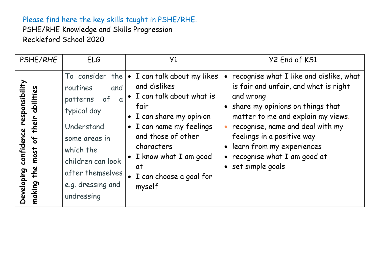## Please find here the key skills taught in PSHE/RHE.

PSHE/RHE Knowledge and Skills Progression Reckleford School 2020

| PSHE/RHE                                                                                                   | ELG                                                                                                                                                                                                     | Y1                                                                                                                                                                                                                                                                  | Y2 End of KS1                                                                                                                                                                                                                                                                                                               |
|------------------------------------------------------------------------------------------------------------|---------------------------------------------------------------------------------------------------------------------------------------------------------------------------------------------------------|---------------------------------------------------------------------------------------------------------------------------------------------------------------------------------------------------------------------------------------------------------------------|-----------------------------------------------------------------------------------------------------------------------------------------------------------------------------------------------------------------------------------------------------------------------------------------------------------------------------|
| responsibility<br>abilities<br>their<br>confidence<br>$\frac{4}{5}$<br>most<br>the<br>Developing<br>making | To consider the<br>and<br>routines<br>of<br>patterns<br>$\alpha$<br>typical day<br>Understand<br>some areas in<br>which the<br>children can look<br>after themselves<br>e.g. dressing and<br>undressing | I can talk about my likes<br>$\bullet$<br>and dislikes<br>I can talk about what is<br>fair<br>I can share my opinion<br>I can name my feelings<br>$\bullet$<br>and those of other<br>characters<br>I know what I am good<br>at<br>I can choose a goal for<br>myself | recognise what I like and dislike, what<br>is fair and unfair, and what is right<br>and wrong<br>• share my opinions on things that<br>matter to me and explain my views.<br>recognise, name and deal with my<br>feelings in a positive way<br>learn from my experiences<br>recognise what I am good at<br>set simple goals |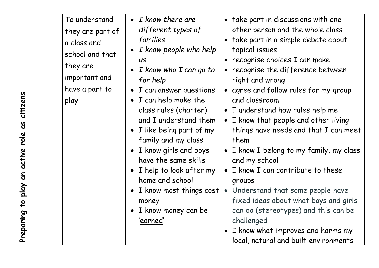| citizens<br>g<br>role<br>active<br>$\overline{a}$<br>play | To understand<br>they are part of<br>a class and<br>school and that<br>they are<br>important and<br>have a part to<br>play | $\bullet$ I know there are<br>different types of<br>families<br>I know people who help<br><b>US</b><br>I know who I can go to<br>for help<br>• I can answer questions<br>• I can help make the<br>class rules (charter)<br>and I understand them<br>• I like being part of my<br>family and my class<br>I know girls and boys<br>have the same skills<br>I help to look after my<br>home and school<br>I know most things cost | take part in discussions with one<br>other person and the whole class<br>take part in a simple debate about<br>topical issues<br>recognise choices I can make<br>recognise the difference between<br>right and wrong<br>agree and follow rules for my group<br>and classroom<br>• I understand how rules help me<br>I know that people and other living<br>$\bullet$<br>things have needs and that I can meet<br>them<br>• I know I belong to my family, my class<br>and my school<br>• I know I can contribute to these<br>groups<br>Understand that some people have |
|-----------------------------------------------------------|----------------------------------------------------------------------------------------------------------------------------|--------------------------------------------------------------------------------------------------------------------------------------------------------------------------------------------------------------------------------------------------------------------------------------------------------------------------------------------------------------------------------------------------------------------------------|------------------------------------------------------------------------------------------------------------------------------------------------------------------------------------------------------------------------------------------------------------------------------------------------------------------------------------------------------------------------------------------------------------------------------------------------------------------------------------------------------------------------------------------------------------------------|
|                                                           |                                                                                                                            |                                                                                                                                                                                                                                                                                                                                                                                                                                |                                                                                                                                                                                                                                                                                                                                                                                                                                                                                                                                                                        |
| $\mathbf{c}$<br>Preparing                                 |                                                                                                                            | money<br>I know money can be<br>'earned'                                                                                                                                                                                                                                                                                                                                                                                       | fixed ideas about what boys and girls<br>can do (stereotypes) and this can be<br>challenged<br>I know what improves and harms my<br>local, natural and built environments                                                                                                                                                                                                                                                                                                                                                                                              |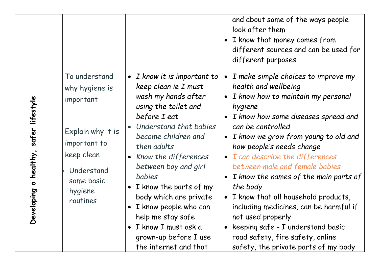|                                                                                                                                                                                                                 |                                                                                                                                                                                                                                                                                                                                                                                                                                      | and about some of the ways people<br>look after them<br>• I know that money comes from<br>different sources and can be used for<br>different purposes.                                                                                                                                                                                                                                                                                                                                                                                                                                                                                                  |
|-----------------------------------------------------------------------------------------------------------------------------------------------------------------------------------------------------------------|--------------------------------------------------------------------------------------------------------------------------------------------------------------------------------------------------------------------------------------------------------------------------------------------------------------------------------------------------------------------------------------------------------------------------------------|---------------------------------------------------------------------------------------------------------------------------------------------------------------------------------------------------------------------------------------------------------------------------------------------------------------------------------------------------------------------------------------------------------------------------------------------------------------------------------------------------------------------------------------------------------------------------------------------------------------------------------------------------------|
| To understand<br>why hygiene is<br>important<br>safer lifestyle<br>Explain why it is<br>important to<br>healthy,<br>keep clean<br>Understand<br>some basic<br>$\sigma$<br>hygiene<br>veloping<br>routines<br>ညီ | • I know it is important to<br>keep clean ie I must<br>wash my hands after<br>using the toilet and<br>before I eat<br>Understand that babies<br>become children and<br>then adults<br>Know the differences<br>between boy and girl<br>babies<br>I know the parts of my<br>$\bullet$<br>body which are private<br>I know people who can<br>help me stay safe<br>I know I must ask a<br>grown-up before I use<br>the internet and that | I make simple choices to improve my<br>$\bullet$<br>health and wellbeing<br>I know how to maintain my personal<br>$\bullet$<br>hygiene<br>I know how some diseases spread and<br>can be controlled<br>• I know we grow from young to old and<br>how people's needs change<br>• I can describe the differences<br>between male and female babies<br>I know the names of the main parts of<br>$\bullet$<br>the body<br>• I know that all household products,<br>including medicines, can be harmful if<br>not used properly<br>keeping safe - I understand basic<br>$\bullet$<br>road safety, fire safety, online<br>safety, the private parts of my body |